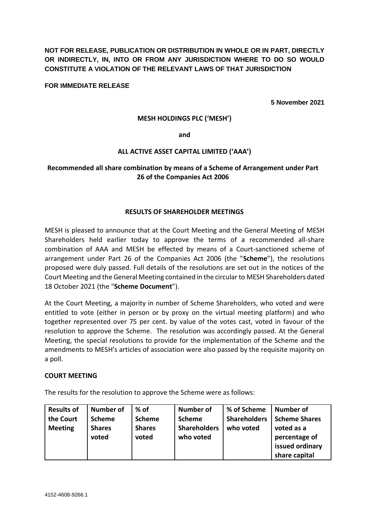**NOT FOR RELEASE, PUBLICATION OR DISTRIBUTION IN WHOLE OR IN PART, DIRECTLY OR INDIRECTLY, IN, INTO OR FROM ANY JURISDICTION WHERE TO DO SO WOULD CONSTITUTE A VIOLATION OF THE RELEVANT LAWS OF THAT JURISDICTION**

**FOR IMMEDIATE RELEASE**

**5 November 2021**

#### **MESH HOLDINGS PLC ('MESH')**

**and** 

#### **ALL ACTIVE ASSET CAPITAL LIMITED ('AAA')**

# **Recommended all share combination by means of a Scheme of Arrangement under Part 26 of the Companies Act 2006**

### **RESULTS OF SHAREHOLDER MEETINGS**

MESH is pleased to announce that at the Court Meeting and the General Meeting of MESH Shareholders held earlier today to approve the terms of a recommended all-share combination of AAA and MESH be effected by means of a Court-sanctioned scheme of arrangement under Part 26 of the Companies Act 2006 (the "**Scheme**"), the resolutions proposed were duly passed. Full details of the resolutions are set out in the notices of the Court Meeting and the General Meeting contained in the circular to MESH Shareholders dated 18 October 2021 (the "**Scheme Document**").

At the Court Meeting, a majority in number of Scheme Shareholders, who voted and were entitled to vote (either in person or by proxy on the virtual meeting platform) and who together represented over 75 per cent. by value of the votes cast, voted in favour of the resolution to approve the Scheme. The resolution was accordingly passed. At the General Meeting, the special resolutions to provide for the implementation of the Scheme and the amendments to MESH's articles of association were also passed by the requisite majority on a poll.

#### **COURT MEETING**

The results for the resolution to approve the Scheme were as follows:

| <b>Results of</b> | <b>Number of</b> | $%$ of        | <b>Number of</b>    | % of Scheme         | Number of            |
|-------------------|------------------|---------------|---------------------|---------------------|----------------------|
| the Court         | <b>Scheme</b>    | <b>Scheme</b> | <b>Scheme</b>       | <b>Shareholders</b> | <b>Scheme Shares</b> |
| <b>Meeting</b>    | <b>Shares</b>    | <b>Shares</b> | <b>Shareholders</b> | who voted           | voted as a           |
|                   | voted            | voted         | who voted           |                     | percentage of        |
|                   |                  |               |                     |                     | issued ordinary      |
|                   |                  |               |                     |                     | share capital        |